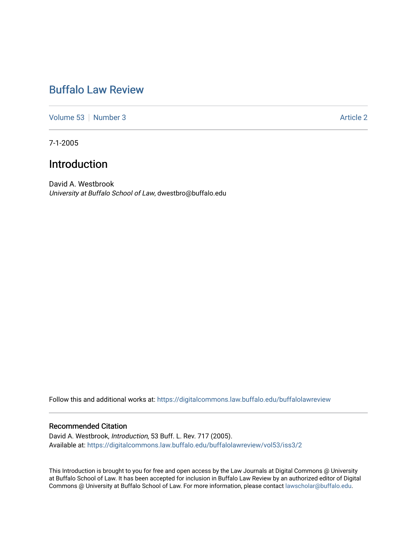## [Buffalo Law Review](https://digitalcommons.law.buffalo.edu/buffalolawreview)

[Volume 53](https://digitalcommons.law.buffalo.edu/buffalolawreview/vol53) [Number 3](https://digitalcommons.law.buffalo.edu/buffalolawreview/vol53/iss3) Article 2

7-1-2005

## Introduction

David A. Westbrook University at Buffalo School of Law, dwestbro@buffalo.edu

Follow this and additional works at: [https://digitalcommons.law.buffalo.edu/buffalolawreview](https://digitalcommons.law.buffalo.edu/buffalolawreview?utm_source=digitalcommons.law.buffalo.edu%2Fbuffalolawreview%2Fvol53%2Fiss3%2F2&utm_medium=PDF&utm_campaign=PDFCoverPages) 

#### Recommended Citation

David A. Westbrook, Introduction, 53 Buff. L. Rev. 717 (2005). Available at: [https://digitalcommons.law.buffalo.edu/buffalolawreview/vol53/iss3/2](https://digitalcommons.law.buffalo.edu/buffalolawreview/vol53/iss3/2?utm_source=digitalcommons.law.buffalo.edu%2Fbuffalolawreview%2Fvol53%2Fiss3%2F2&utm_medium=PDF&utm_campaign=PDFCoverPages) 

This Introduction is brought to you for free and open access by the Law Journals at Digital Commons @ University at Buffalo School of Law. It has been accepted for inclusion in Buffalo Law Review by an authorized editor of Digital Commons @ University at Buffalo School of Law. For more information, please contact [lawscholar@buffalo.edu](mailto:lawscholar@buffalo.edu).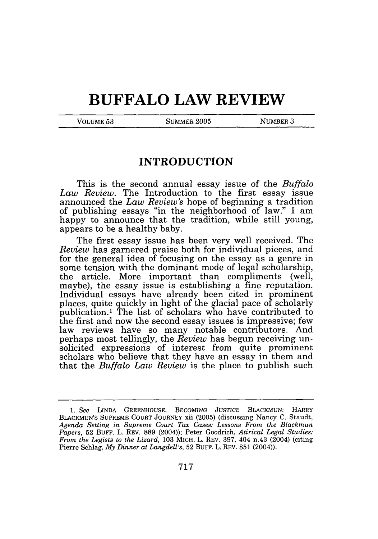# **BUFFALO LAW REVIEW**

VOLUME 53 SUMMER 2005 NUMBER 3

### **INTRODUCTION**

This is the second annual essay issue of the *Buffalo Law Review.* The Introduction to the first essay issue announced the *Law Review's* hope of beginning a tradition of publishing essays "in the neighborhood of law." I am happy to announce that the tradition, while still young, appears to be a healthy baby.

The first essay issue has been very well received. The *Review* has garnered praise both for individual pieces, and for the general idea of focusing on the essay as a genre in some tension with the dominant mode of legal scholarship, the article. More important than compliments (well, maybe), the essay issue is establishing a fine reputation. Individual essays have already been cited in prominent places, quite quickly in light of the glacial pace of scholarly publication.' The list of scholars who have contributed to the first and now the second essay issues is impressive; few law reviews have so many notable contributors. And perhaps most tellingly, the *Review* has begun receiving unsolicited expressions of interest from quite prominent scholars who believe that they have an essay in them and that the *Buffalo Law Review* is the place to publish such

*<sup>1.</sup> See* LINDA GREENHOUSE, BECOMING JUSTICE BLACKMUN: HARRY BLACKMUN'S SUPREME COURT JOURNEY xii (2005) (discussing Nancy C. Staudt, *Agenda Setting in Supreme Court Tax Cases: Lessons From the Blackmun Papers,* 52 BUFF. L. REV. 889 (2004)); Peter Goodrich, *Atirical Legal Studies: From the Legists to the Lizard,* 103 MICH. L. REV. 397, 404 n.43 (2004) (citing Pierre Schlag, *My Dinner at Langdell's,* 52 BUFF. L. REV. 851 (2004)).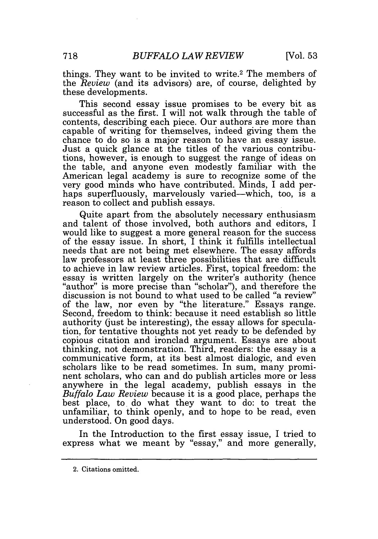things. They want to be invited to write.<sup>2</sup> The members of the *Review* (and its advisors) are, of course, delighted by these developments.

This second essay issue promises to be every bit as successful as the first. I will not walk through the table of contents, describing each piece. Our authors are more than capable of writing for themselves, indeed giving them the chance to do so is a major reason to have an essay issue. Just a quick glance at the titles of the various contributions, however, is enough to suggest the range of ideas on the table, and anyone even modestly familiar with the American legal academy is sure to recognize some of the very good minds who have contributed. Minds, I add perhaps superfluously, marvelously varied—which, too, is a reason to collect and publish essays.

Quite apart from the absolutely necessary enthusiasm and talent of those involved, both authors and editors, I would like to suggest a more general reason for the success of the essay issue. In short, I think it fulfills intellectual needs that are not being met elsewhere. The essay affords law professors at least three possibilities that are difficult to achieve in law review articles. First, topical freedom: the "author" is more precise than "scholar"), and therefore the discussion is not bound to what used to be called "a review" of the law, nor even by "the literature." Essays range. Second, freedom to think: because it need establish so little authority (just be interesting), the essay allows for speculation, for tentative thoughts not yet ready to be defended by copious citation and ironclad argument. Essays are about thinking, not demonstration. Third, readers: the essay is a communicative form, at its best almost dialogic, and even scholars like to be read sometimes. In sum, many prominent scholars, who can and do publish articles more or less anywhere in the legal academy, publish essays in the *Buffalo Law Review* because it is a good place, perhaps the best place, to do what they want to do: to treat the unfamiliar, to think openly, and to hope to be read, even understood. On good days.

In the Introduction to the first essay issue, I tried to express what we meant by "essay," and more generally,

<sup>2.</sup> Citations omitted.